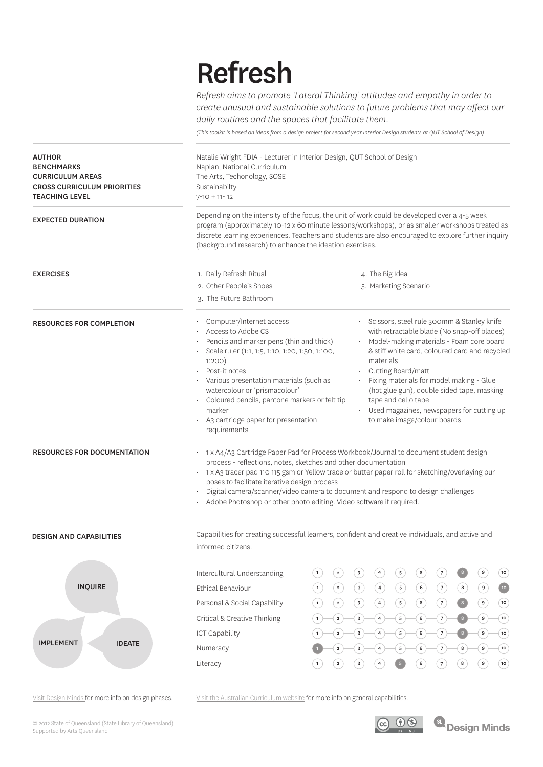# Refresh

*Refresh aims to promote 'Lateral Thinking' attitudes and empathy in order to create unusual and sustainable solutions to future problems that may affect our daily routines and the spaces that facilitate them.* 

*(This toolkit is based on ideas from a design project for second year Interior Design students at QUT School of Design)*

| Natalie Wright FDIA - Lecturer in Interior Design, QUT School of Design<br>Naplan, National Curriculum<br>The Arts, Techonology, SOSE<br>Sustainabilty<br>$7 - 10 + 11 - 12$                                                                                                                                                                                                                                                                                            |                                                                                                                                                                                                                                                                                                                                                                                                                                                                  |  |
|-------------------------------------------------------------------------------------------------------------------------------------------------------------------------------------------------------------------------------------------------------------------------------------------------------------------------------------------------------------------------------------------------------------------------------------------------------------------------|------------------------------------------------------------------------------------------------------------------------------------------------------------------------------------------------------------------------------------------------------------------------------------------------------------------------------------------------------------------------------------------------------------------------------------------------------------------|--|
| Depending on the intensity of the focus, the unit of work could be developed over a 4-5 week<br>program (approximately 10-12 x 60 minute lessons/workshops), or as smaller workshops treated as<br>discrete learning experiences. Teachers and students are also encouraged to explore further inquiry<br>(background research) to enhance the ideation exercises.                                                                                                      |                                                                                                                                                                                                                                                                                                                                                                                                                                                                  |  |
| 1. Daily Refresh Ritual                                                                                                                                                                                                                                                                                                                                                                                                                                                 | 4. The Big Idea                                                                                                                                                                                                                                                                                                                                                                                                                                                  |  |
| 2. Other People's Shoes                                                                                                                                                                                                                                                                                                                                                                                                                                                 | 5. Marketing Scenario                                                                                                                                                                                                                                                                                                                                                                                                                                            |  |
| 3. The Future Bathroom                                                                                                                                                                                                                                                                                                                                                                                                                                                  |                                                                                                                                                                                                                                                                                                                                                                                                                                                                  |  |
| Computer/Internet access<br>Access to Adobe CS<br>Pencils and marker pens (thin and thick)<br>Scale ruler (1:1, 1:5, 1:10, 1:20, 1:50, 1:100,<br>1:200<br>Post-it notes<br>Various presentation materials (such as<br>watercolour or 'prismacolour'<br>Coloured pencils, pantone markers or felt tip<br>marker<br>A3 cartridge paper for presentation<br>requirements                                                                                                   | Scissors, steel rule 300mm & Stanley knife<br>with retractable blade (No snap-off blades)<br>Model-making materials - Foam core board<br>& stiff white card, coloured card and recycled<br>materials<br>Cutting Board/matt<br>Fixing materials for model making - Glue<br>(hot glue gun), double sided tape, masking<br>tape and cello tape<br>Used magazines, newspapers for cutting up<br>to make image/colour boards                                          |  |
| 1 x A4/A3 Cartridge Paper Pad for Process Workbook/Journal to document student design<br>process - reflections, notes, sketches and other documentation<br>· 1 x A3 tracer pad 110 115 gsm or Yellow trace or butter paper roll for sketching/overlaying pur<br>poses to facilitate iterative design process<br>Digital camera/scanner/video camera to document and respond to design challenges<br>Adobe Photoshop or other photo editing. Video software if required. |                                                                                                                                                                                                                                                                                                                                                                                                                                                                  |  |
| informed citizens.                                                                                                                                                                                                                                                                                                                                                                                                                                                      | Capabilities for creating successful learners, confident and creative individuals, and active and                                                                                                                                                                                                                                                                                                                                                                |  |
| Intercultural Understanding<br>Ethical Behaviour<br>Personal & Social Capability<br>Critical & Creative Thinking<br><b>ICT Capability</b><br>Numeracy<br>Literacy                                                                                                                                                                                                                                                                                                       | $\overline{\mathbf{4}}$<br>$\sqrt{5}$<br>$6\overline{)}$<br>10 <sub>o</sub><br>$\mathbf 3$<br>$\sqrt{7}$<br>$\mathbf 2$<br>10 <sup>°</sup><br>6<br>8<br>$\sqrt{5}$<br>$\sqrt{7}$<br>$\boldsymbol{9}$<br>6<br>$\sqrt{7}$<br>10 <sub>o</sub><br>$\overline{\mathbf{4}}$<br>$\sqrt{5}$<br>6<br>$\boldsymbol{9}$<br>(10<br>5<br>6<br>$\boldsymbol{9}$<br>10 <sub>o</sub><br>5<br>$\overline{7}$<br>$\boldsymbol{9}$<br>(10<br>5<br>6<br>8<br>$\sqrt{7}$<br>9<br>(10) |  |
|                                                                                                                                                                                                                                                                                                                                                                                                                                                                         |                                                                                                                                                                                                                                                                                                                                                                                                                                                                  |  |

Visit Design Minds for more info on design phases.

Visit the Australian Curriculum website for more info on general capabilities.

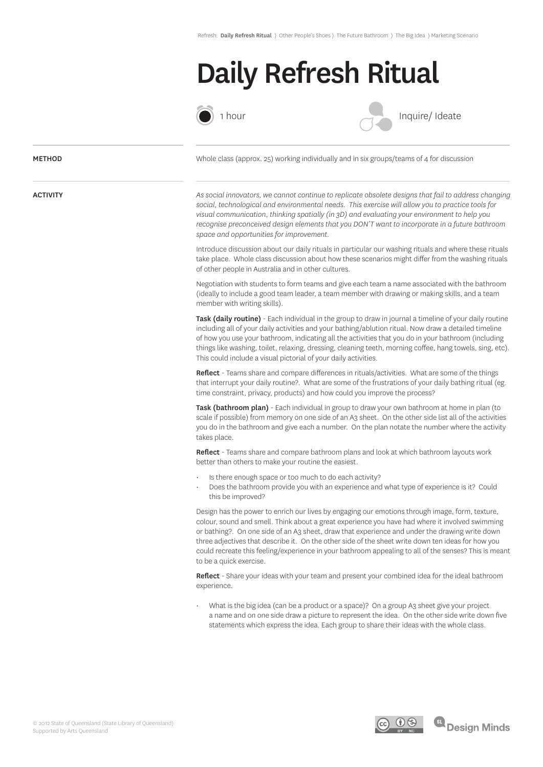## Daily Refresh Ritual



1 hour

Inquire/ Ideate

### **METHOD**

ACTIVITY

Whole class (approx. 25) working individually and in six groups/teams of 4 for discussion

*As social innovators, we cannot continue to replicate obsolete designs that fail to address changing social, technological and environmental needs. This exercise will allow you to practice tools for visual communication, thinking spatially (in 3D) and evaluating your environment to help you recognise preconceived design elements that you DON'T want to incorporate in a future bathroom space and opportunities for improvement.*

Introduce discussion about our daily rituals in particular our washing rituals and where these rituals take place. Whole class discussion about how these scenarios might differ from the washing rituals of other people in Australia and in other cultures.

Negotiation with students to form teams and give each team a name associated with the bathroom (ideally to include a good team leader, a team member with drawing or making skills, and a team member with writing skills).

Task (daily routine) - Each individual in the group to draw in journal a timeline of your daily routine including all of your daily activities and your bathing/ablution ritual. Now draw a detailed timeline of how you use your bathroom, indicating all the activities that you do in your bathroom (including things like washing, toilet, relaxing, dressing, cleaning teeth, morning coffee, hang towels, sing, etc). This could include a visual pictorial of your daily activities.

Reflect - Teams share and compare differences in rituals/activities. What are some of the things that interrupt your daily routine?. What are some of the frustrations of your daily bathing ritual (eg. time constraint, privacy, products) and how could you improve the process?

Task (bathroom plan) - Each individual in group to draw your own bathroom at home in plan (to scale if possible) from memory on one side of an A3 sheet. On the other side list all of the activities you do in the bathroom and give each a number. On the plan notate the number where the activity takes place.

Reflect - Teams share and compare bathroom plans and look at which bathroom layouts work better than others to make your routine the easiest.

- Is there enough space or too much to do each activity?
- Does the bathroom provide you with an experience and what type of experience is it? Could this be improved?

Design has the power to enrich our lives by engaging our emotions through image, form, texture, colour, sound and smell. Think about a great experience you have had where it involved swimming or bathing?. On one side of an A3 sheet, draw that experience and under the drawing write down three adjectives that describe it. On the other side of the sheet write down ten ideas for how you could recreate this feeling/experience in your bathroom appealing to all of the senses? This is meant to be a quick exercise.

Reflect - Share your ideas with your team and present your combined idea for the ideal bathroom experience.

What is the big idea (can be a product or a space)? On a group A3 sheet give your project a name and on one side draw a picture to represent the idea. On the other side write down five statements which express the idea. Each group to share their ideas with the whole class.

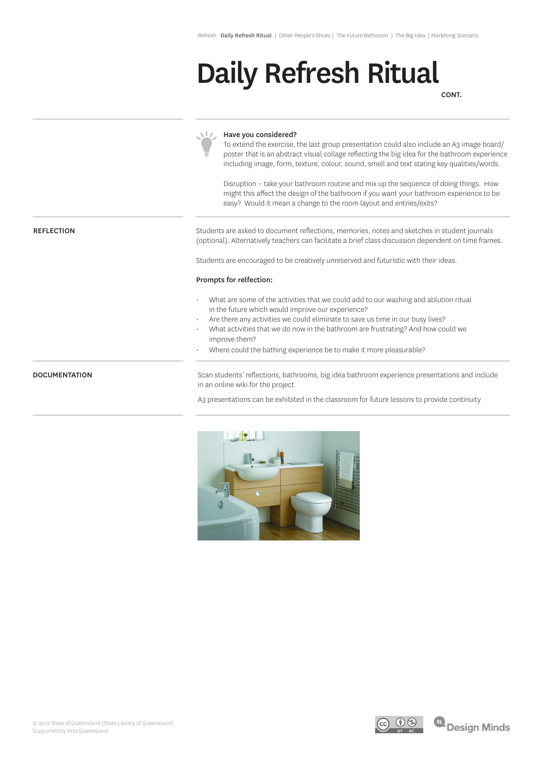# Daily Refresh Ritual

CONT.

|                      | Have you considered?<br>To extend the exercise, the last group presentation could also include an A3 image board/<br>poster that is an abstract visual collage reflecting the big idea for the bathroom experience<br>including image, form, texture, colour, sound, smell and text stating key qualities/words.<br>Disruption - take your bathroom routine and mix up the sequence of doing things. How<br>might this affect the design of the bathroom if you want your bathroom experience to be<br>easy? Would it mean a change to the room layout and entries/exits? |
|----------------------|---------------------------------------------------------------------------------------------------------------------------------------------------------------------------------------------------------------------------------------------------------------------------------------------------------------------------------------------------------------------------------------------------------------------------------------------------------------------------------------------------------------------------------------------------------------------------|
| <b>REFLECTION</b>    | Students are asked to document reflections, memories, notes and sketches in student journals<br>(optional). Alternatively teachers can facilitate a brief class discussion dependent on time frames.                                                                                                                                                                                                                                                                                                                                                                      |
|                      | Students are encouraged to be creatively unreserved and futuristic with their ideas.                                                                                                                                                                                                                                                                                                                                                                                                                                                                                      |
|                      | Prompts for relfection:                                                                                                                                                                                                                                                                                                                                                                                                                                                                                                                                                   |
|                      | What are some of the activities that we could add to our washing and ablution ritual<br>in the future which would improve our experience?<br>Are there any activities we could eliminate to save us time in our busy lives?<br>What activities that we do now in the bathroom are frustrating? And how could we<br>improve them?<br>Where could the bathing experience be to make it more pleasurable?                                                                                                                                                                    |
| <b>DOCUMENTATION</b> | Scan students' reflections, bathrooms, big idea bathroom experience presentations and include<br>in an online wiki for the project                                                                                                                                                                                                                                                                                                                                                                                                                                        |
|                      | A3 presentations can be exhibited in the classroom for future lessons to provide continuity                                                                                                                                                                                                                                                                                                                                                                                                                                                                               |
|                      | $\bigcap$                                                                                                                                                                                                                                                                                                                                                                                                                                                                                                                                                                 |

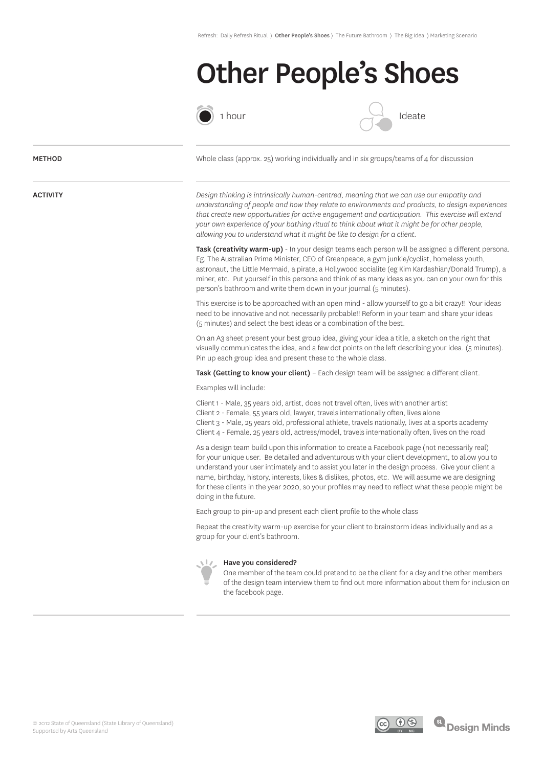### Other People's Shoes





### **METHOD**

ACTIVITY

Whole class (approx. 25) working individually and in six groups/teams of 4 for discussion

*Design thinking is intrinsically human-centred, meaning that we can use our empathy and understanding of people and how they relate to environments and products, to design experiences that create new opportunities for active engagement and participation. This exercise will extend your own experience of your bathing ritual to think about what it might be for other people, allowing you to understand what it might be like to design for a client.* 

Task (creativity warm-up) - In your design teams each person will be assigned a different persona. Eg. The Australian Prime Minister, CEO of Greenpeace, a gym junkie/cyclist, homeless youth, astronaut, the Little Mermaid, a pirate, a Hollywood socialite (eg Kim Kardashian/Donald Trump), a miner, etc. Put yourself in this persona and think of as many ideas as you can on your own for this person's bathroom and write them down in your journal (5 minutes).

This exercise is to be approached with an open mind - allow yourself to go a bit crazy!! Your ideas need to be innovative and not necessarily probable!! Reform in your team and share your ideas (5 minutes) and select the best ideas or a combination of the best.

On an A3 sheet present your best group idea, giving your idea a title, a sketch on the right that visually communicates the idea, and a few dot points on the left describing your idea. (5 minutes). Pin up each group idea and present these to the whole class.

Task (Getting to know your client) - Each design team will be assigned a different client.

Examples will include:

Client 1 - Male, 35 years old, artist, does not travel often, lives with another artist

Client 2 - Female, 55 years old, lawyer, travels internationally often, lives alone

Client 3 - Male, 25 years old, professional athlete, travels nationally, lives at a sports academy Client 4 - Female, 25 years old, actress/model, travels internationally often, lives on the road

As a design team build upon this information to create a Facebook page (not necessarily real) for your unique user. Be detailed and adventurous with your client development, to allow you to understand your user intimately and to assist you later in the design process. Give your client a name, birthday, history, interests, likes & dislikes, photos, etc. We will assume we are designing for these clients in the year 2020, so your profiles may need to reflect what these people might be doing in the future.

Each group to pin-up and present each client profile to the whole class

Repeat the creativity warm-up exercise for your client to brainstorm ideas individually and as a group for your client's bathroom.



### Have you considered?

One member of the team could pretend to be the client for a day and the other members of the design team interview them to find out more information about them for inclusion on the facebook page.

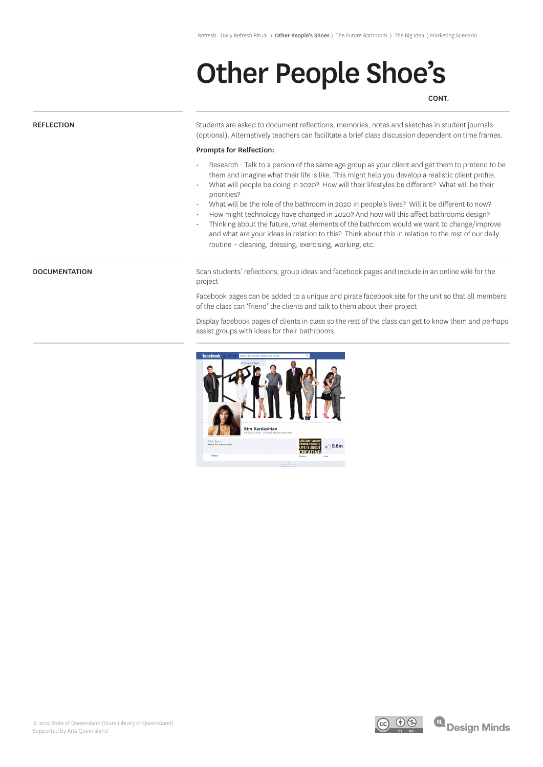## Other People Shoe's

CONT.

### **REFLECTION**

**DOCUMENTATION** 

Students are asked to document reflections, memories, notes and sketches in student journals (optional). Alternatively teachers can facilitate a brief class discussion dependent on time frames.

#### Prompts for Relfection:

- Research Talk to a person of the same age group as your client and get them to pretend to be them and imagine what their life is like. This might help you develop a realistic client profile.
- What will people be doing in 2020? How will their lifestyles be different? What will be their priorities?
- What will be the role of the bathroom in 2020 in people's lives? Will it be different to now?
- How might technology have changed in 2020? And how will this affect bathrooms design?
- Thinking about the future, what elements of the bathroom would we want to change/improve and what are your ideas in relation to this? Think about this in relation to the rest of our daily routine – cleaning, dressing, exercising, working, etc.

Scan students' reflections, group ideas and facebook pages and include in an online wiki for the project

Facebook pages can be added to a unique and pirate facebook site for the unit so that all members of the class can 'friend' the clients and talk to them about their project

Display facebook pages of clients in class so the rest of the class can get to know them and perhaps assist groups with ideas for their bathrooms.





**SL** Design Minds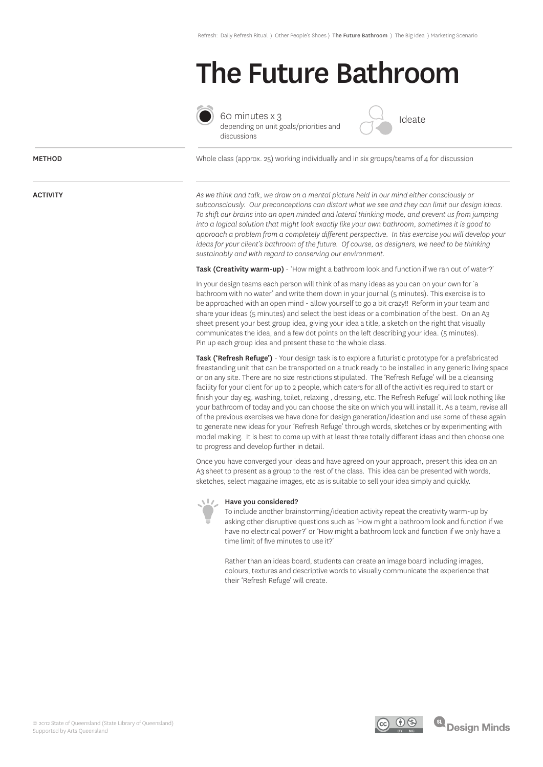### The Future Bathroom



60 minutes x 3 depending on unit goals/priorities and discussions



Whole class (approx. 25) working individually and in six groups/teams of 4 for discussion

*As we think and talk, we draw on a mental picture held in our mind either consciously or subconsciously. Our preconceptions can distort what we see and they can limit our design ideas. To shift our brains into an open minded and lateral thinking mode, and prevent us from jumping into a logical solution that might look exactly like your own bathroom, sometimes it is good to approach a problem from a completely different perspective. In this exercise you will develop your ideas for your client's bathroom of the future. Of course, as designers, we need to be thinking sustainably and with regard to conserving our environment.*

Task (Creativity warm-up) - 'How might a bathroom look and function if we ran out of water?'

In your design teams each person will think of as many ideas as you can on your own for 'a bathroom with no water' and write them down in your journal (5 minutes). This exercise is to be approached with an open mind - allow yourself to go a bit crazy!! Reform in your team and share your ideas (5 minutes) and select the best ideas or a combination of the best. On an A3 sheet present your best group idea, giving your idea a title, a sketch on the right that visually communicates the idea, and a few dot points on the left describing your idea. (5 minutes). Pin up each group idea and present these to the whole class.

Task ('Refresh Refuge') - Your design task is to explore a futuristic prototype for a prefabricated freestanding unit that can be transported on a truck ready to be installed in any generic living space or on any site. There are no size restrictions stipulated. The 'Refresh Refuge' will be a cleansing facility for your client for up to 2 people, which caters for all of the activities required to start or finish your day eg. washing, toilet, relaxing , dressing, etc. The Refresh Refuge' will look nothing like your bathroom of today and you can choose the site on which you will install it. As a team, revise all of the previous exercises we have done for design generation/ideation and use some of these again to generate new ideas for your 'Refresh Refuge' through words, sketches or by experimenting with model making. It is best to come up with at least three totally different ideas and then choose one to progress and develop further in detail.

Once you have converged your ideas and have agreed on your approach, present this idea on an A3 sheet to present as a group to the rest of the class. This idea can be presented with words, sketches, select magazine images, etc as is suitable to sell your idea simply and quickly.



### Have you considered?

To include another brainstorming/ideation activity repeat the creativity warm-up by asking other disruptive questions such as 'How might a bathroom look and function if we have no electrical power?' or 'How might a bathroom look and function if we only have a time limit of five minutes to use it?'

Rather than an ideas board, students can create an image board including images, colours, textures and descriptive words to visually communicate the experience that their 'Refresh Refuge' will create.



#### ACTIVITY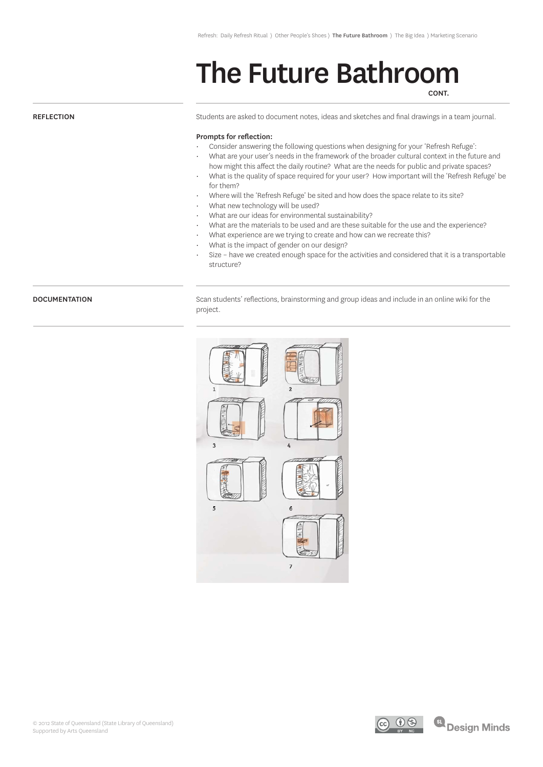### The Future Bathroom **CONT**

### **REFLECTION**

Students are asked to document notes, ideas and sketches and final drawings in a team journal.

### Prompts for reflection:

- Consider answering the following questions when designing for your 'Refresh Refuge':
- What are your user's needs in the framework of the broader cultural context in the future and how might this affect the daily routine? What are the needs for public and private spaces?
- What is the quality of space required for your user? How important will the 'Refresh Refuge' be for them?
- Where will the 'Refresh Refuge' be sited and how does the space relate to its site?
- What new technology will be used?
- What are our ideas for environmental sustainability?
- What are the materials to be used and are these suitable for the use and the experience?
- What experience are we trying to create and how can we recreate this?
- What is the impact of gender on our design?
- Size have we created enough space for the activities and considered that it is a transportable structure?

### **DOCUMENTATION**

Scan students' reflections, brainstorming and group ideas and include in an online wiki for the project.



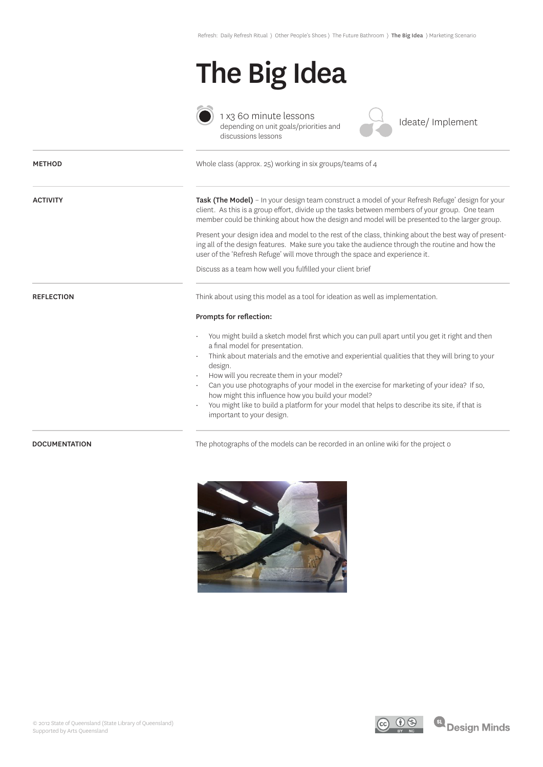# The Big Idea



1 x3 60 minute lessons depending on unit goals/priorities and discussions lessons

Ideate/ Implement

| <b>METHOD</b>     | Whole class (approx. 25) working in six groups/teams of 4                                                                                                                                                                                                                                            |
|-------------------|------------------------------------------------------------------------------------------------------------------------------------------------------------------------------------------------------------------------------------------------------------------------------------------------------|
| <b>ACTIVITY</b>   | Task (The Model) - In your design team construct a model of your Refresh Refuge' design for your<br>client. As this is a group effort, divide up the tasks between members of your group. One team<br>member could be thinking about how the design and model will be presented to the larger group. |
|                   | Present your design idea and model to the rest of the class, thinking about the best way of present-<br>ing all of the design features. Make sure you take the audience through the routine and how the<br>user of the 'Refresh Refuge' will move through the space and experience it.               |
|                   | Discuss as a team how well you fulfilled your client brief                                                                                                                                                                                                                                           |
| <b>REFLECTION</b> | Think about using this model as a tool for ideation as well as implementation.                                                                                                                                                                                                                       |
|                   | Prompts for reflection:                                                                                                                                                                                                                                                                              |
|                   | You might build a sketch model first which you can pull apart until you get it right and then<br>a final model for presentation.                                                                                                                                                                     |
|                   | Think about materials and the emotive and experiential qualities that they will bring to your<br>design.                                                                                                                                                                                             |
|                   | How will you recreate them in your model?<br>Can you use photographs of your model in the exercise for marketing of your idea? If so,<br>how might this influence how you build your model?                                                                                                          |
|                   | You might like to build a platform for your model that helps to describe its site, if that is<br>important to your design.                                                                                                                                                                           |

DOCUMENTATION The photographs of the models can be recorded in an online wiki for the project of